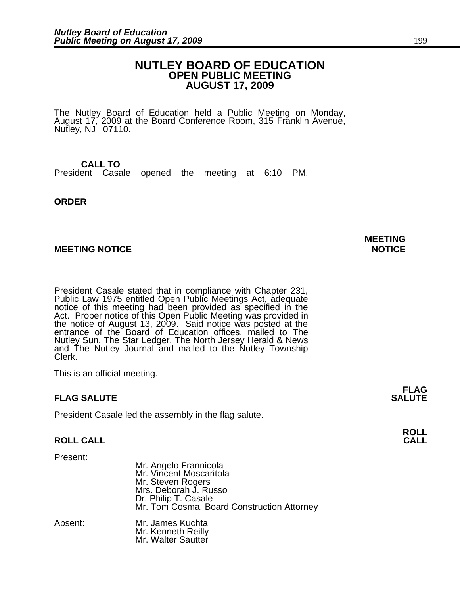## **NUTLEY BOARD OF EDUCATION OPEN PUBLIC MEETING AUGUST 17, 2009**

The Nutley Board of Education held a Public Meeting on Monday, August 17, 2009 at the Board Conference Room, 315 Franklin Avenue, Nutley, NJ 07110.

#### **CALL TO** President Casale opened the meeting at 6:10 PM.

#### **ORDER**

#### **MEETING NOTICE NOTICE**

President Casale stated that in compliance with Chapter 231, Public Law 1975 entitled Open Public Meetings Act, adequate notice of this meeting had been provided as specified in the Act. Proper notice of this Open Public Meeting was provided in the notice of August 13, 2009. Said notice was posted at the entrance of the Board of Education offices, mailed to The Nutley Sun, The Star Ledger, The North Jersey Herald & News and The Nutley Journal and mailed to the Nutley Township Clerk.

This is an official meeting.

## **FLAG SALUTE**

President Casale led the assembly in the flag salute.

## **ROLL CALL CALL**

Present:

| Mr. Angelo Frannicola                      |
|--------------------------------------------|
| Mr. Vincent Moscaritola                    |
| Mr. Steven Rogers<br>Mrs. Deborah J. Russo |
|                                            |
| Dr. Philip T. Casale                       |
| Mr. Tom Cosma, Board Construction Attorney |
|                                            |

| Mr. James Kuchta                         |
|------------------------------------------|
| Mr. Kenneth Reilly<br>Mr. Walter Sautter |
|                                          |
|                                          |

# **MEETING**

**FLAG**<br>SALUTE